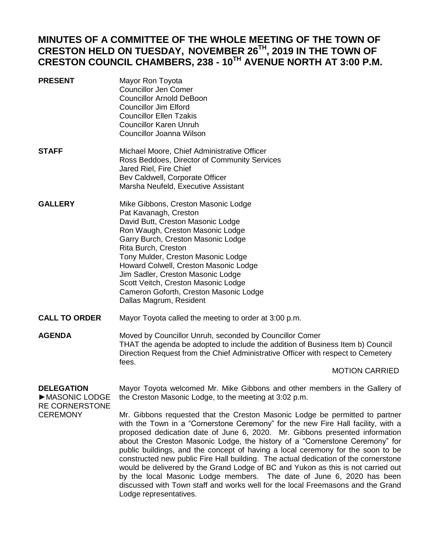# **MINUTES OF A COMMITTEE OF THE WHOLE MEETING OF THE TOWN OF CRESTON HELD ON TUESDAY, NOVEMBER 26TH, 2019 IN THE TOWN OF CRESTON COUNCIL CHAMBERS, 238 - 10TH AVENUE NORTH AT 3:00 P.M.**

- **PRESENT** Mayor Ron Toyota Councillor Jen Comer Councillor Arnold DeBoon Councillor Jim Elford Councillor Ellen Tzakis Councillor Karen Unruh Councillor Joanna Wilson **STAFF** Michael Moore, Chief Administrative Officer
- Ross Beddoes, Director of Community Services Jared Riel, Fire Chief Bev Caldwell, Corporate Officer Marsha Neufeld, Executive Assistant
- **GALLERY** Mike Gibbons, Creston Masonic Lodge Pat Kavanagh, Creston David Butt, Creston Masonic Lodge Ron Waugh, Creston Masonic Lodge Garry Burch, Creston Masonic Lodge Rita Burch, Creston Tony Mulder, Creston Masonic Lodge Howard Colwell, Creston Masonic Lodge Jim Sadler, Creston Masonic Lodge Scott Veitch, Creston Masonic Lodge Cameron Goforth, Creston Masonic Lodge Dallas Magrum, Resident
- **CALL TO ORDER** Mayor Toyota called the meeting to order at 3:00 p.m.
- **AGENDA** Moved by Councillor Unruh, seconded by Councillor Comer THAT the agenda be adopted to include the addition of Business Item b) Council Direction Request from the Chief Administrative Officer with respect to Cemetery fees.

# MOTION CARRIED

## **DELEGATION** ►MASONIC LODGE RE CORNERSTONE **CEREMONY**

Mayor Toyota welcomed Mr. Mike Gibbons and other members in the Gallery of the Creston Masonic Lodge, to the meeting at 3:02 p.m.

Mr. Gibbons requested that the Creston Masonic Lodge be permitted to partner with the Town in a "Cornerstone Ceremony" for the new Fire Hall facility, with a proposed dedication date of June 6, 2020. Mr. Gibbons presented information about the Creston Masonic Lodge, the history of a "Cornerstone Ceremony" for public buildings, and the concept of having a local ceremony for the soon to be constructed new public Fire Hall building. The actual dedication of the cornerstone would be delivered by the Grand Lodge of BC and Yukon as this is not carried out by the local Masonic Lodge members. The date of June 6, 2020 has been discussed with Town staff and works well for the local Freemasons and the Grand Lodge representatives.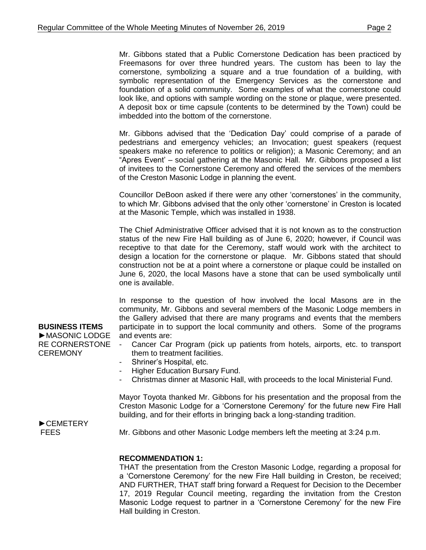Mr. Gibbons stated that a Public Cornerstone Dedication has been practiced by Freemasons for over three hundred years. The custom has been to lay the cornerstone, symbolizing a square and a true foundation of a building, with symbolic representation of the Emergency Services as the cornerstone and foundation of a solid community. Some examples of what the cornerstone could look like, and options with sample wording on the stone or plaque, were presented. A deposit box or time capsule (contents to be determined by the Town) could be imbedded into the bottom of the cornerstone.

Mr. Gibbons advised that the 'Dedication Day' could comprise of a parade of pedestrians and emergency vehicles; an Invocation; guest speakers (request speakers make no reference to politics or religion); a Masonic Ceremony; and an "Apres Event' – social gathering at the Masonic Hall. Mr. Gibbons proposed a list of invitees to the Cornerstone Ceremony and offered the services of the members of the Creston Masonic Lodge in planning the event.

Councillor DeBoon asked if there were any other 'cornerstones' in the community, to which Mr. Gibbons advised that the only other 'cornerstone' in Creston is located at the Masonic Temple, which was installed in 1938.

The Chief Administrative Officer advised that it is not known as to the construction status of the new Fire Hall building as of June 6, 2020; however, if Council was receptive to that date for the Ceremony, staff would work with the architect to design a location for the cornerstone or plaque. Mr. Gibbons stated that should construction not be at a point where a cornerstone or plaque could be installed on June 6, 2020, the local Masons have a stone that can be used symbolically until one is available.

In response to the question of how involved the local Masons are in the community, Mr. Gibbons and several members of the Masonic Lodge members in the Gallery advised that there are many programs and events that the members participate in to support the local community and others. Some of the programs and events are:

- Cancer Car Program (pick up patients from hotels, airports, etc. to transport them to treatment facilities.
- Shriner's Hospital, etc.
- Higher Education Bursary Fund.
- Christmas dinner at Masonic Hall, with proceeds to the local Ministerial Fund.

Mayor Toyota thanked Mr. Gibbons for his presentation and the proposal from the Creston Masonic Lodge for a 'Cornerstone Ceremony' for the future new Fire Hall building, and for their efforts in bringing back a long-standing tradition.

►CEMETERY **FEES** 

Mr. Gibbons and other Masonic Lodge members left the meeting at 3:24 p.m.

# **RECOMMENDATION 1:**

THAT the presentation from the Creston Masonic Lodge, regarding a proposal for a 'Cornerstone Ceremony' for the new Fire Hall building in Creston, be received; AND FURTHER, THAT staff bring forward a Request for Decision to the December 17, 2019 Regular Council meeting, regarding the invitation from the Creston Masonic Lodge request to partner in a 'Cornerstone Ceremony' for the new Fire Hall building in Creston.

**BUSINESS ITEMS** ►MASONIC LODGE RE CORNERSTONE **CEREMONY**